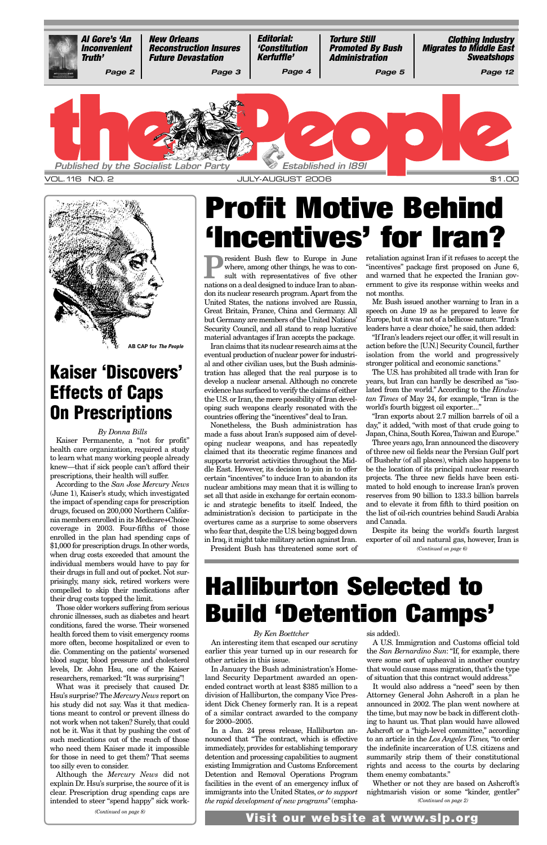**President Bush flew to Europe in June**<br>where, among other things, he was to consult with representatives of five other where, among other things, he was to consult with representatives of five other nations on a deal designed to induce Iran to abandon its nuclear research program.Apart from the United States, the nations involved are Russia, Great Britain, France, China and Germany. All but Germany are members of the United Nations' Security Council, and all stand to reap lucrative material advantages if Iran accepts the package.

Iran claims that its nuclear research aims at the eventual production of nuclear power for industrial and other civilian uses, but the Bush administration has alleged that the real purpose is to develop a nuclear arsenal. Although no concrete evidence has surfaced to verify the claims of either the U.S. or Iran, the mere possibility of Iran developing such weapons clearly resonated with the countries offering the "incentives" deal to Iran.

"If Iran's leaders reject our offer, it will result in action before the [U.N.] Security Council, further isolation from the world and progressively stronger political and economic sanctions."

Nonetheless, the Bush administration has made a fuss about Iran's supposed aim of developing nuclear weapons, and has repeatedly claimed that its theocratic regime finances and supports terrorist activities throughout the Middle East. However, its decision to join in to offer certain "incentives" to induce Iran to abandon its nuclear ambitions may mean that it is willing to set all that aside in exchange for certain economic and strategic benefits to itself. Indeed, the administration's decision to participate in the overtures came as a surprise to some observers who fear that, despite the U.S. being bogged down in Iraq,it might take military action against Iran.

President Bush has threatened some sort of

retaliation against Iran if it refuses to accept the "incentives" package first proposed on June 6, and warned that he expected the Iranian government to give its response within weeks and not months.

Mr. Bush issued another warning to Iran in a speech on June 19 as he prepared to leave for Europe,but it was not of a bellicose nature."Iran's leaders have a clear choice," he said, then added:

The U.S. has prohibited all trade with Iran for years, but Iran can hardly be described as "isolated from the world." According to the *Hindustan Times* of May 24, for example, "Iran is the world's fourth biggest oil exporter...."

"Iran exports about 2.7 million barrels of oil a day," it added, "with most of that crude going to Japan,China,South Korea,Taiwan and Europe."

Three years ago, Iran announced the discovery of three new oil fields near the Persian Gulf port of Bushehr (of all places), which also happens to be the location of its principal nuclear research projects. The three new fields have been estimated to hold enough to increase Iran's proven reserves from 90 billion to 133.3 billion barrels and to elevate it from fifth to third position on the list of oil-rich countries behind Saudi Arabia and Canada.

# **Profit Motive Behind 'Incentives' for Iran?**

#### *By Ken Boettcher*

An interesting item that escaped our scrutiny earlier this year turned up in our research for other articles in this issue.

In January the Bush administration's Homeland Security Department awarded an openended contract worth at least \$385 million to a division of Halliburton, the company Vice President Dick Cheney formerly ran. It is a repeat of a similar contract awarded to the company for 2000–2005.

In a Jan. 24 press release, Halliburton announced that "The contract, which is effective immediately, provides for establishing temporary detention and processing capabilities to augment existing Immigration and Customs Enforcement Detention and Removal Operations Program facilities in the event of an emergency influx of immigrants into the United States, *or to support the rapid development of new programs*" (emphasis added).

A U.S. Immigration and Customs official told the *San Bernardino Sun*: "If, for example, there were some sort of upheaval in another country that would cause mass migration, that's the type of situation that this contract would address."

It would also address a "need" seen by then Attorney General John Ashcroft in a plan he announced in 2002. The plan went nowhere at the time, but may now be back in different clothing to haunt us. That plan would have allowed Ashcroft or a "high-level committee," according to an article in the *Los Angeles Times,* "to order the indefinite incarceration of U.S. citizens and summarily strip them of their constitutional rights and access to the courts by declaring them enemy combatants."

# **Halliburton Selected to Build 'Detention Camps'**

#### *By Donna Bills*

Kaiser Permanente, a "not for profit" health care organization, required a study to learn what many working people already knew—that if sick people can't afford their prescriptions, their health will suffer.

> Despite its being the world's fourth largest exporter of oil and natural gas, however, Iran is *(Continued on page 6)*

<span id="page-0-0"></span>

According to the *San Jose Mercury News* (June 1), Kaiser's study, which investigated the impact of spending caps for prescription drugs, focused on 200,000 Northern California members enrolled in its Medicare+Choice coverage in 2003. Four-fifths of those enrolled in the plan had spending caps of \$1,000 for prescription drugs. In other words, when drug costs exceeded that amount the individual members would have to pay for their drugs in full and out of pocket. Not surprisingly, many sick, retired workers were compelled to skip their medications after their drug costs topped the limit.

Those older workers suffering from serious chronic illnesses, such as diabetes and heart

> Whether or not they are based on Ashcroft's nightmarish vision or some "kinder, gentler" *(Continued on page 2)*

conditions, fared the worse. Their worsened health forced them to visit emergency rooms more often, become hospitalized or even to die. Commenting on the patients' worsened blood sugar, blood pressure and cholesterol levels, Dr. John Hsu, one of the Kaiser researchers, remarked: "It was surprising"!

What was it precisely that caused Dr. Hsu's surprise? The *Mercury News* report on his study did not say. Was it that medications meant to control or prevent illness do not work when not taken? Surely, that could not be it. Was it that by pushing the cost of such medications out of the reach of those who need them Kaiser made it impossible for those in need to get them? That seems too silly even to consider.

Although the *Mercury News* did not explain Dr. Hsu's surprise, the source of it is clear. Prescription drug spending caps are intended to steer "spend happy" sick work-

## **Kaiser 'Discovers' Effects of Caps On Prescriptions**

### **Visit our website at www.slp.org**

*(Continued on page 8)*

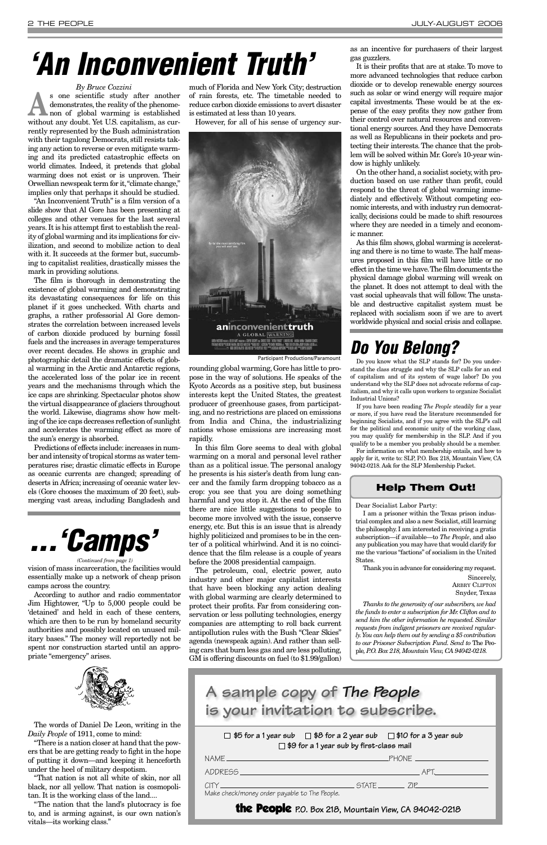*By Bruce Cozzini*

s one scientific study after another<br>demonstrates, the reality of the phenome-<br>non of global warming is established demonstrates, the reality of the phenomenon of global warming is established without any doubt. Yet U.S. capitalism, as currently represented by the Bush administration with their tagalong Democrats, still resists taking any action to reverse or even mitigate warming and its predicted catastrophic effects on world climates. Indeed, it pretends that global warming does not exist or is unproven. Their Orwellian newspeak term for it,"climate change," implies only that perhaps it should be studied.

"An Inconvenient Truth" is a film version of a slide show that Al Gore has been presenting at colleges and other venues for the last several years. It is his attempt first to establish the reality of global warming and its implications for civilization, and second to mobilize action to deal with it. It succeeds at the former but, succumbing to capitalist realities, drastically misses the mark in providing solutions.

Predictions of effects include: increases in number and intensity of tropical storms as water temperatures rise; drastic climatic effects in Europe as oceanic currents are changed; spreading of deserts in Africa; increasing of oceanic water levels (Gore chooses the maximum of 20 feet), submerging vast areas, including Bangladesh and

The film is thorough in demonstrating the existence of global warming and demonstrating its devastating consequences for life on this planet if it goes unchecked. With charts and graphs, a rather professorial Al Gore demonstrates the correlation between increased levels of carbon dioxide produced by burning fossil fuels and the increases in average temperatures over recent decades. He shows in graphic and photographic detail the dramatic effects of global warming in the Arctic and Antarctic regions, the accelerated loss of the polar ice in recent years and the mechanisms through which the ice caps are shrinking. Spectacular photos show the virtual disappearance of glaciers throughout the world. Likewise, diagrams show how melting of the ice caps decreases reflection of sunlight and accelerates the warming effect as more of the sun's energy is absorbed.

much of Florida and New York City; destruction of rain forests, etc. The timetable needed to reduce carbon dioxide emissions to avert disaster is estimated at less than 10 years.

However, for all of his sense of urgency sur-



rounding global warming, Gore has little to propose in the way of solutions. He speaks of the Kyoto Accords as a positive step, but business interests kept the United States, the greatest producer of greenhouse gases, from participating, and no restrictions are placed on emissions from India and China, the industrializing nations whose emissions are increasing most rapidly.

In this film Gore seems to deal with global warming on a moral and personal level rather than as a political issue. The personal analogy he presents is his sister's death from lung cancer and the family farm dropping tobacco as a crop: you see that you are doing something harmful and you stop it. At the end of the film there are nice little suggestions to people to become more involved with the issue, conserve energy, etc. But this is an issue that is already highly politicized and promises to be in the center of a political whirlwind. And it is no coincidence that the film release is a couple of years before the 2008 presidential campaign.

> $\Box$  \$5 for a 1 year sub  $\Box$  \$8 for a 2 year sub  $\Box$  \$10 for a 3 year sub **\$9 for a 1 year sub by first-class mail**

The petroleum, coal, electric power, auto industry and other major capitalist interests that have been blocking any action dealing with global warming are clearly determined to protect their profits. Far from considering conservation or less polluting technologies, energy companies are attempting to roll back current antipollution rules with the Bush "Clear Skies" agenda (newspeak again). And rather than selling cars that burn less gas and are less polluting, GM is offering discounts on fuel (to \$1.99/gallon) as an incentive for purchasers of their largest gas guzzlers.

It is their profits that are at stake. To move to more advanced technologies that reduce carbon dioxide or to develop renewable energy sources such as solar or wind energy will require major capital investments. These would be at the expense of the easy profits they now gather from their control over natural resources and conventional energy sources. And they have Democrats as well as Republicans in their pockets and protecting their interests. The chance that the problem will be solved within Mr. Gore's 10-year window is highly unlikely.

On the other hand, a socialist society, with production based on use rather than profit, could respond to the threat of global warming immediately and effectively. Without competing economic interests, and with industry run democratically, decisions could be made to shift resources where they are needed in a timely and economic manner.

As this film shows, global warming is accelerating and there is no time to waste. The half measures proposed in this film will have little or no effect in the time we have.The film documents the physical damage global warming will wreak on the planet. It does not attempt to deal with the vast social upheavals that will follow. The unstable and destructive capitalist system must be replaced with socialism soon if we are to avert worldwide physical and social crisis and collapse.

According to author and radio commentator Jim Hightower, "Up to 5,000 people could be 'detained' and held in each of these centers, which are then to be run by homeland security authorities and possibly located on unused military bases." The money will reportedly not be spent nor construction started until an appropriate "emergency" arises.

The words of Daniel De Leon, writing in the *Daily People* of 1911, come to mind:

"There is a nation closer at hand that the powers that be are getting ready to fight in the hope of putting it down—and keeping it henceforth under the heel of military despotism.

vision of mass incarceration, the facilities would essentially make up a network of cheap prison camps across the country. *(Continued from page 1)*

"That nation is not all white of skin, nor all black, nor all yellow. That nation is cosmopolitan. It is the working class of the land....

"The nation that the land's plutocracy is foe to, and is arming against, is our own nation's vitals—its working class."

| <b>NAME</b>                                                                                                                                     | $\angle$ PHONE $\_\_$ |
|-------------------------------------------------------------------------------------------------------------------------------------------------|-----------------------|
| ADDRESS.                                                                                                                                        |                       |
| <b>CITY</b><br>the contract of the contract of the contract of the contract of the contract of<br>Make check/money order payable to The People. | STATE 71P             |

the People **P.O. Box 218, Mountain View, CA 94042-0218**

**A sample copy of The People is your invitation to subscribe.** 

# <span id="page-1-0"></span>**'An Inconvenient Truth'**



Participant Productions/Paramount

#### **Help Them Out!**

#### Dear Socialist Labor Party:

I am a prisoner within the Texas prison industrial complex and also a new Socialist, still learning the philosophy. I am interested in receiving a gratis subscription—if available—to *The People*, and also any publication you may have that would clarify for me the various "factions" of socialism in the United States.

Thank you in advance for considering my request.

Sincerely, ARBRY CLIFTON Snyder, Texas

*Thanks to the generosity of our subscribers, we had the funds to enter a subscription for Mr. Clifton and to send him the other information he requested. Similar*



*requests from indigent prisoners are received regularly.You can help them out by sending a \$5 contribution to our Prisoner Subscription Fund. Send to* The People*, P.O. Box 218, Mountain View, CA 94042-0218.*

## **Do You Belong?**

Do you know what the SLP stands for? Do you understand the class struggle and why the SLP calls for an end of capitalism and of its system of wage labor? Do you understand why the SLP does not advocate reforms of capitalism, and why it calls upon workers to organize Socialist Industrial Unions?

If you have been reading *The People* steadily for a year or more, if you have read the literature recommended for beginning Socialists, and if you agree with the SLP's call for the political and economic unity of the working class, you may qualify for membership in the SLP. And if you qualify to be a member you probably should be a member.

For information on what membership entails, and how to apply for it, write to: SLP, P.O. Box 218, Mountain View, CA 94042-0218. Ask for the SLP Membership Packet.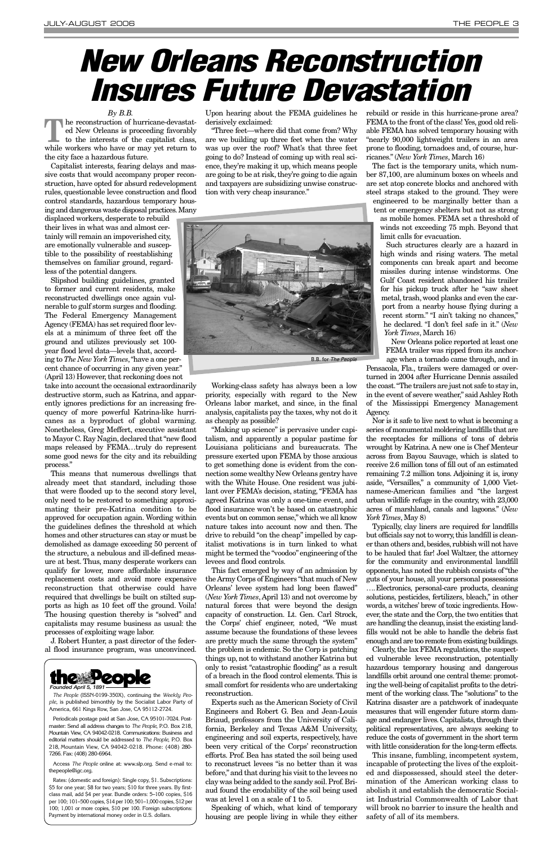*By B.B.*

The reconstruction of hurricane-devastat-<br>
ed New Orleans is proceeding favorably<br>
to the interests of the capitalist class, ed New Orleans is proceeding favorably to the interests of the capitalist class, while workers who have or may yet return to the city face a hazardous future.

Capitalist interests, fearing delays and massive costs that would accompany proper reconstruction, have opted for absurd redevelopment rules, questionable levee construction and flood control standards, hazardous temporary housing and dangerous waste disposal practices.Many

displaced workers, desperate to rebuild their lives in what was and almost certainly will remain an impoverished city, are emotionally vulnerable and susceptible to the possibility of reestablishing themselves on familiar ground, regardless of the potential dangers.

Slipshod building guidelines, granted to former and current residents, make reconstructed dwellings once again vulnerable to gulf storm surges and flooding. The Federal Emergency Management Agency (FEMA) has set required floor levels at a minimum of three feet off the ground and utilizes previously set 100 year flood level data—levels that, according to *The New York Times*,"have a one percent chance of occurring in any given year." (April 13) However, that reckoning does not

take into account the occasional extraordinarily destructive storm, such as Katrina, and apparently ignores predictions for an increasing frequency of more powerful Katrina-like hurricanes as a byproduct of global warming. Nonetheless, Greg Meffert, executive assistant to Mayor C. Ray Nagin, declared that "new flood maps released by FEMA…truly do represent some good news for the city and its rebuilding process."

This means that numerous dwellings that already meet that standard, including those that were flooded up to the second story level, only need to be restored to something approximating their pre-Katrina condition to be approved for occupation again. Wording within the guidelines defines the threshold at which homes and other structures can stay or must be demolished as damage exceeding 50 percent of the structure, a nebulous and ill-defined measure at best. Thus, many desperate workers can qualify for lower, more affordable insurance replacement costs and avoid more expensive reconstruction that otherwise could have required that dwellings be built on stilted supports as high as 10 feet off the ground. Voila! The housing question thereby is "solved" and

capitalists may resume business as usual: the processes of exploiting wage labor.

J. Robert Hunter, a past director of the federal flood insurance program, was unconvinced. Upon hearing about the FEMA guidelines he derisively exclaimed:

"Three feet—where did that come from? Why are we building up three feet when the water was up over the roof? What's that three feet going to do? Instead of coming up with real science, they're making it up, which means people are going to be at risk, they're going to die again and taxpayers are subsidizing unwise construction with very cheap insurance."

Working-class safety has always been a low priority, especially with regard to the New Orleans labor market, and since, in the final analysis, capitalists pay the taxes, why not do it as cheaply as possible?

"Making up science" is pervasive under capitalism, and apparently a popular pastime for Louisiana politicians and bureaucrats. The pressure exerted upon FEMA by those anxious to get something done is evident from the connection some wealthy New Orleans gentry have with the White House. One resident was jubilant over FEMA's decision, stating, "FEMA has agreed Katrina was only a one-time event, and flood insurance won't be based on catastrophic events but on common sense," which we all know nature takes into account now and then. The drive to rebuild "on the cheap" impelled by capitalist motivations is in turn linked to what might be termed the "voodoo" engineering of the levees and flood controls.

This fact emerged by way of an admission by the Army Corps of Engineers "that much of New Orleans' levee system had long been flawed" (*New York Times*, April 13) and not overcome by natural forces that were beyond the design capacity of construction. Lt. Gen. Carl Strock, the Corps' chief engineer, noted, "We must assume because the foundations of these levees are pretty much the same through the system" the problem is endemic. So the Corp is patching things up, not to withstand another Katrina but only to resist "catastrophic flooding" as a result of a breach in the flood control elements. This is small comfort for residents who are undertaking reconstruction. Experts such as the American Society of Civil Engineers and Robert G. Bea and Jean-Louis Briaud, professors from the University of California, Berkeley and Texas A&M University, engineering and soil experts, respectively, have been very critical of the Corps' reconstruction efforts. Prof. Bea has stated the soil being used to reconstruct levees "is no better than it was before," and that during his visit to the levees no clay was being added to the sandy soil. Prof. Briaud found the erodability of the soil being used was at level 1 on a scale of 1 to 5. Speaking of which, what kind of temporary housing are people living in while they either

rebuild or reside in this hurricane-prone area? FEMA to the front of the class! Yes, good old reliable FEMA has solved temporary housing with "nearly 90,000 lightweight trailers in an area prone to flooding, tornadoes and, of course, hurricanes." (*New York Times*, March 16)

The fact is the temporary units, which number 87,100, are aluminum boxes on wheels and are set atop concrete blocks and anchored with steel straps staked to the ground. They were

engineered to be marginally better than a tent or emergency shelters but not as strong as mobile homes. FEMA set a threshold of winds not exceeding 75 mph. Beyond that limit calls for evacuation.

Such structures clearly are a hazard in high winds and rising waters. The metal components can break apart and become missiles during intense windstorms. One Gulf Coast resident abandoned his trailer for his pickup truck after he "saw sheet metal, trash, wood planks and even the carport from a nearby house flying during a recent storm." "I ain't taking no chances," he declared. "I don't feel safe in it." (*New York Times*, March 16)

New Orleans police reported at least one FEMA trailer was ripped from its anchorage when a tornado came through, and in

Pensacola, Fla., trailers were damaged or overturned in 2004 after Hurricane Dennis assailed the coast."The trailers are just not safe to stay in, in the event of severe weather," said Ashley Roth of the Mississippi Emergency Management Agency.

Nor is it safe to live next to what is becoming a series of monumental moldering landfills that are the receptacles for millions of tons of debris wrought by Katrina. A new one is Chef Menteur across from Bayou Sauvage, which is slated to receive 2.6 million tons of fill out of an estimated remaining 7.2 million tons. Adjoining it is, irony aside, "Versailles," a community of 1,000 Vietnamese-American families and "the largest urban wildlife refuge in the country, with 23,000 acres of marshland, canals and lagoons." (*New York Times*, May 8)

Typically, clay liners are required for landfills but officials say not to worry, this landfill is cleaner than others and, besides, rubbish will not have to be hauled that far! Joel Waltzer, the attorney for the community and environmental landfill opponents, has noted the rubbish consists of "the guts of your house, all your personal possessions ….Electronics, personal-care products, cleaning solutions, pesticides, fertilizers, bleach," in other

words, a witches' brew of toxic ingredients. However, the state and the Corp, the two entities that are handling the cleanup, insist the existing landfills would not be able to handle the debris fast enough and are too remote from existing buildings. Clearly, the lax FEMA regulations, the suspected vulnerable levee reconstruction, potentially hazardous temporary housing and dangerous landfills orbit around one central theme: promoting the well-being of capitalist profits to the detriment of the working class. The "solutions" to the Katrina disaster are a patchwork of inadequate measures that will engender future storm damage and endanger lives. Capitalists, through their political representatives, are always seeking to reduce the costs of government in the short term with little consideration for the long-term effects. This insane, fumbling, incompetent system, incapable of protecting the lives of the exploited and dispossessed, should steel the determination of the American working class to abolish it and establish the democratic Socialist Industrial Commonwealth of Labor that will brook no barrier to insure the health and safety of all of its members.

# <span id="page-2-0"></span>**New Orleans Reconstruction Insures Future Devastation**



*The People* (ISSN-0199-350X), continuing the *Weekly People*, is published bimonthly by the Socialist Labor Party of America, 661 Kings Row, San Jose, CA 95112-2724.

Periodicals postage paid at San Jose, CA 95101-7024. Postmaster: Send all address changes to *The People*, P.O. Box 218, Mountain View, CA 94042-0218. Communications: Business and editorial matters should be addressed to *The People*, P.O. Box 218, Mountain View, CA 94042-0218. Phone: (408) 280- 7266. Fax: (408) 280-6964.

Access *The People* online at: www.slp.org. Send e-mail to: thepeople@igc.org.

Rates: (domestic and foreign): Single copy, \$1. Subscriptions: \$5 for one year; \$8 for two years; \$10 for three years. By firstclass mail, add \$4 per year. Bundle orders: 5–100 copies, \$16 per 100; 101–500 copies, \$14 per 100; 501–1,000 copies, \$12 per 100; 1,001 or more copies, \$10 per 100. Foreign subscriptions: Payment by international money order in U.S. dollars.

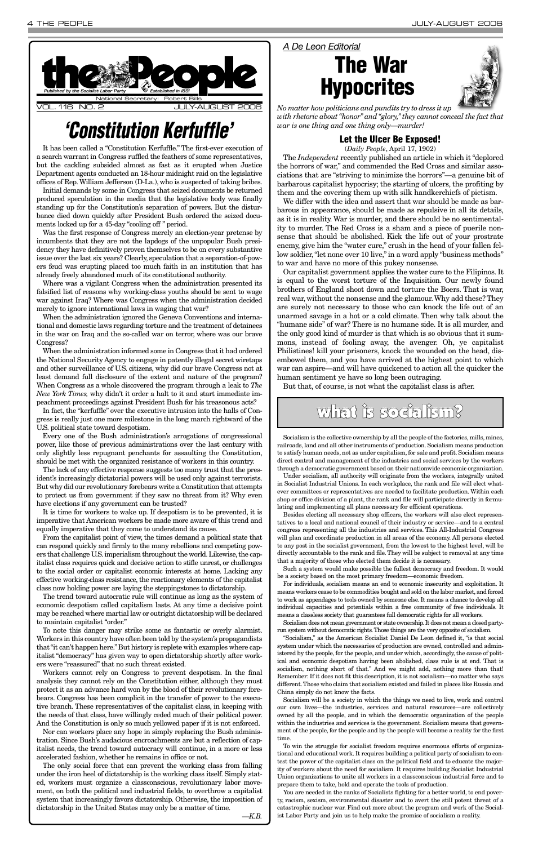#### **Let the Ulcer Be Exposed!**

(*Daily People*, April 17, 1902)

The *Independent* recently published an article in which it "deplored the horrors of war," and commended the Red Cross and similar associations that are "striving to minimize the horrors"—a genuine bit of barbarous capitalist hypocrisy; the starting of ulcers, the profiting by them and the covering them up with silk handkerchiefs of pietism.

We differ with the idea and assert that war should be made as barbarous in appearance, should be made as repulsive in all its details, as it is in reality. War is murder, and there should be no sentimentality to murder. The Red Cross is a sham and a piece of puerile nonsense that should be abolished. Kick the life out of your prostrate enemy, give him the "water cure," crush in the head of your fallen fellow soldier, "let none over 10 live," in a word apply "business methods" to war and have no more of this pukey nonsense.

Our capitalist government applies the water cure to the Filipinos. It is equal to the worst torture of the Inquisition. Our newly found brothers of England shoot down and torture the Boers. That is war, real war, without the nonsense and the glamour.Why add these? They are surely not necessary to those who can knock the life out of an unarmed savage in a hot or a cold climate. Then why talk about the "humane side" of war? There is no humane side. It is all murder, and the only good kind of murder is that which is so obvious that it summons, instead of fooling away, the avenger. Oh, ye capitalist Philistines! kill your prisoners, knock the wounded on the head, disembowel them, and you have arrived at the highest point to which war can aspire—and will have quickened to action all the quicker the human sentiment ye have so long been outraging.

But that, of course, is not what the capitalist class is after.

#### *A De Leon Editorial*





*No matter how politicians and pundits try to dress it up with rhetoric about "honor" and "glory," they cannot conceal the fact that war is one thing and one thing only—murder!*

It has been called a "Constitution Kerfuffle." The first-ever execution of a search warrant in Congress ruffled the feathers of some representatives, but the cackling subsided almost as fast as it erupted when Justice Department agents conducted an 18-hour midnight raid on the legislative offices of Rep. William Jefferson (D-La.), who is suspected of taking bribes.

Initial demands by some in Congress that seized documents be returned produced speculation in the media that the legislative body was finally standing up for the Constitution's separation of powers. But the disturbance died down quickly after President Bush ordered the seized documents locked up for a 45-day "cooling off " period.

Was the first response of Congress merely an election-year pretense by incumbents that they are not the lapdogs of the unpopular Bush presidency they have definitively proven themselves to be on every substantive issue over the last six years? Clearly, speculation that a separation-of-powers feud was erupting placed too much faith in an institution that has already freely abandoned much of its constitutional authority.

Where was a vigilant Congress when the administration presented its falsified list of reasons why working-class youths should be sent to wage war against Iraq? Where was Congress when the administration decided merely to ignore international laws in waging that war?

When the administration ignored the Geneva Conventions and international and domestic laws regarding torture and the treatment of detainees in the war on Iraq and the so-called war on terror, where was our brave Congress?

When the administration informed some in Congress that it had ordered the National Security Agency to engage in patently illegal secret wiretaps and other surveillance of U.S. citizens, why did our brave Congress not at least demand full disclosure of the extent and nature of the program? When Congress as a whole discovered the program through a leak to *The New York Times,* why didn't it order a halt to it and start immediate impeachment proceedings against President Bush for his treasonous acts?

In fact, the "kerfuffle" over the executive intrusion into the halls of Congress is really just one more milestone in the long march rightward of the U.S. political state toward despotism.

Every one of the Bush administration's arrogations of congressional power, like those of previous administrations over the last century with only slightly less repugnant penchants for assaulting the Constitution, should be met with the organized resistance of workers in this country.

<span id="page-3-0"></span>

The lack of any effective response suggests too many trust that the president's increasingly dictatorial powers will be used only against terrorists. But why did our revolutionary forebears write a Constitution that attempts to protect us from government if they saw no threat from it? Why even have elections if any government can be trusted?

It is time for workers to wake up. If despotism is to be prevented, it is imperative that American workers be made more aware of this trend and equally imperative that they come to understand its cause.

From the capitalist point of view, the times demand a political state that can respond quickly and firmly to the many rebellions and competing powers that challenge U.S. imperialism throughout the world. Likewise, the capitalist class requires quick and decisive action to stifle unrest, or challenges to the social order or capitalist economic interests at home. Lacking any effective working-class resistance, the reactionary elements of the capitalist class now holding power are laying the steppingstones to dictatorship.

The trend toward autocratic rule will continue as long as the system of economic despotism called capitalism lasts. At any time a decisive point may be reached where martial law or outright dictatorship will be declared

to maintain capitalist "order."

To note this danger may strike some as fantastic or overly alarmist. Workers in this country have often been told by the system's propagandists that "it can't happen here."But history is replete with examples where capitalist "democracy" has given way to open dictatorship shortly after workers were "reassured" that no such threat existed.

Workers cannot rely on Congress to prevent despotism. In the final analysis they cannot rely on the Constitution either, although they must protect it as an advance hard won by the blood of their revolutionary forebears. Congress has been complicit in the transfer of power to the executive branch. These representatives of the capitalist class, in keeping with the needs of that class, have willingly ceded much of their political power. And the Constitution is only so much yellowed paper if it is not enforced.

Nor can workers place any hope in simply replacing the Bush administration. Since Bush's audacious encroachments are but a reflection of capitalist needs, the trend toward autocracy will continue, in a more or less accelerated fashion, whether he remains in office or not.

The only social force that can prevent the working class from falling under the iron heel of dictatorship is the working class itself. Simply stated, workers must organize a classconscious, revolutionary labor movement, on both the political and industrial fields, to overthrow a capitalist system that increasingly favors dictatorship. Otherwise, the imposition of dictatorship in the United States may only be a matter of time.

*—K.B.*

## **'Constitution Kerfuffle'**

## what is socialism?

Socialism is the collective ownership by all the people of the factories, mills, mines, railroads, land and all other instruments of production. Socialism means production to satisfy human needs, not as under capitalism, for sale and profit. Socialism means direct control and management of the industries and social services by the workers through a democratic government based on their nationwide economic organization.

Under socialism, all authority will originate from the workers, integrally united in Socialist Industrial Unions. In each workplace, the rank and file will elect whatever committees or representatives are needed to facilitate production. Within each shop or office division of a plant, the rank and file will participate directly in formulating and implementing all plans necessary for efficient operations.

Besides electing all necessary shop officers, the workers will also elect representatives to a local and national council of their industry or service—and to a central congress representing all the industries and services. This All-Industrial Congress will plan and coordinate production in all areas of the economy. All persons elected to any post in the socialist government, from the lowest to the highest level, will be directly accountable to the rank and file. They will be subject to removal at any time that a majority of those who elected them decide it is necessary.

Such a system would make possible the fullest democracy and freedom. It would be a society based on the most primary freedom—economic freedom.

For individuals, socialism means an end to economic insecurity and exploitation. It means workers cease to be commodities bought and sold on the labor market, and forced to work as appendages to tools owned by someone else. It means a chance to develop all individual capacities and potentials within a free community of free individuals. It means a classless society that guarantees full democratic rights for all workers.

Socialism does not mean government or state ownership.It does not mean a closed partyrun system without democratic rights.Those things are the very opposite of socialism.

"Socialism," as the American Socialist Daniel De Leon defined it, "is that social system under which the necessaries of production are owned, controlled and administered by the people, for the people, and under which, accordingly, the cause of political and economic despotism having been abolished, class rule is at end. That is socialism, nothing short of that." And we might add, nothing more than that! Remember: If it does not fit this description, it is not socialism—no matter who says different.Those who claim that socialism existed and failed in places like Russia and China simply do not know the facts.

Socialism will be a society in which the things we need to live, work and control our own lives—the industries, services and natural resources—are collectively owned by all the people, and in which the democratic organization of the people within the industries and services is the government. Socialism means that government of the people, for the people and by the people will become a reality for the first time.

To win the struggle for socialist freedom requires enormous efforts of organizational and educational work. It requires building a political party of socialism to contest the power of the capitalist class on the political field and to educate the majority of workers about the need for socialism. It requires building Socialist Industrial Union organizations to unite all workers in a classconscious industrial force and to prepare them to take, hold and operate the tools of production.

You are needed in the ranks of Socialists fighting for a better world, to end poverty, racism, sexism, environmental disaster and to avert the still potent threat of a catastrophic nuclear war. Find out more about the program and work of the Socialist Labor Party and join us to help make the promise of socialism a reality.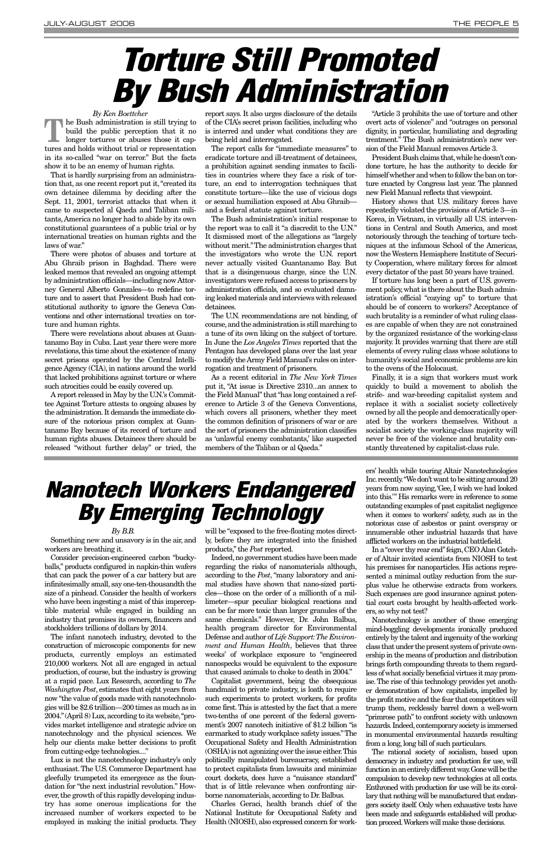#### *By Ken Boettcher*

**The Bush administration is still trying to**<br>build the public perception that it no<br>longer tortures or abuses those it capbuild the public perception that it no longer tortures or abuses those it captures and holds without trial or representation in its so-called "war on terror." But the facts show it to be an enemy of human rights.

That is hardly surprising from an administration that, as one recent report put it,"created its own detainee dilemma by deciding after the Sept. 11, 2001, terrorist attacks that when it came to suspected al Qaeda and Taliban militants,America no longer had to abide by its own constitutional guarantees of a public trial or by international treaties on human rights and the laws of war."

There were photos of abuses and torture at Abu Ghraib prison in Baghdad. There were leaked memos that revealed an ongoing attempt by administration officials—including now Attorney General Alberto Gonzales—to redefine torture and to assert that President Bush had constitutional authority to ignore the Geneva Conventions and other international treaties on torture and human rights.

There were revelations about abuses at Guantanamo Bay in Cuba. Last year there were more revelations, this time about the existence of many secret prisons operated by the Central Intelligence Agency (CIA), in nations around the world that lacked prohibitions against torture or where such atrocities could be easily covered up.

A report released in May by the U.N.'s Committee Against Torture attests to ongoing abuses by the administration.It demands the immediate closure of the notorious prison complex at Guantanamo Bay because of its record of torture and human rights abuses. Detainees there should be released "without further delay" or tried, the

report says. It also urges disclosure of the details of the CIA's secret prison facilities, including who is interred and under what conditions they are being held and interrogated.

The report calls for "immediate measures" to eradicate torture and ill-treatment of detainees, a prohibition against sending inmates to facilities in countries where they face a risk of torture, an end to interrogation techniques that constitute torture—like the use of vicious dogs or sexual humiliation exposed at Abu Ghraib and a federal statute against torture.

The Bush administration's initial response to the report was to call it "a discredit to the U.N." It dismissed most of the allegations as "largely without merit."The administration charges that the investigators who wrote the U.N. report never actually visited Guantanamo Bay. But that is a disingenuous charge, since the U.N. investigators were refused access to prisoners by administration officials, and so evaluated damning leaked materials and interviews with released detainees.

The U.N. recommendations are not binding, of course,and the administration is still marching to a tune of its own liking on the subject of torture. In June the *Los Angeles Times* reported that the Pentagon has developed plans over the last year to modify the Army Field Manual's rules on interrogation and treatment of prisoners.

As a recent editorial in *The New York Times* put it, "At issue is Directive 2310...an annex to the Field Manual" that "has long contained a reference to Article 3 of the Geneva Conventions, which covers all prisoners, whether they meet the common definition of prisoners of war or are the sort of prisoners the administration classifies as 'unlawful enemy combatants,' like suspected members of the Taliban or al Qaeda."

"Article 3 prohibits the use of torture and other overt acts of violence" and "outrages on personal dignity, in particular, humiliating and degrading treatment." The Bush administration's new version of the Field Manual removes Article 3.

President Bush claims that,while he doesn't condone torture, he has the authority to decide for himself whether and when to follow the ban on torture enacted by Congress last year. The planned new Field Manual reflects that viewpoint.

History shows that U.S. military forces have repeatedly violated the provisions of Article 3—in Korea, in Vietnam, in virtually all U.S. interventions in Central and South America, and most notoriously through the teaching of torture techniques at the infamous School of the Americas, now the Western Hemisphere Institute of Security Cooperation, where military forces for almost every dictator of the past 50 years have trained.

In a "cover thy rear end" feign, CEO Alan Gotcher of Altair invited scientists from NIOSH to test his premises for nanoparticles. His actions represented a minimal outlay reduction from the surplus value he otherwise extracts from workers. Such expenses are good insurance against potential court costs brought by health-affected workers, so why not test?

If torture has long been a part of U.S. government policy,what is there about the Bush administration's official "cozying up" to torture that should be of concern to workers? Acceptance of such brutality is a reminder of what ruling classes are capable of when they are not constrained by the organized resistance of the working-class majority. It provides warning that there are still elements of every ruling class whose solutions to humanity's social and economic problems are kin to the ovens of the Holocaust.

Finally, it is a sign that workers must work quickly to build a movement to abolish the strife- and war-breeding capitalist system and replace it with a socialist society collectively owned by all the people and democratically operated by the workers themselves. Without a socialist society the working-class majority will never be free of the violence and brutality constantly threatened by capitalist-class rule.

# <span id="page-4-0"></span>**Torture Still Promoted By Bush Administration**

#### *By B.B.*

Something new and unsavory is in the air, and workers are breathing it.

Consider precision-engineered carbon "buckyballs," products configured in napkin-thin wafers that can pack the power of a car battery but are infinitesimally small, say one-ten-thousandth the size of a pinhead. Consider the health of workers who have been ingesting a mist of this imperceptible material while engaged in building an industry that promises its owners, financers and

stockholders trillions of dollars by 2014.

The infant nanotech industry, devoted to the construction of microscopic components for new products, currently employs an estimated 210,000 workers. Not all are engaged in actual production, of course, but the industry is growing at a rapid pace. Lux Research, according to *The Washington Post*, estimates that eight years from now "the value of goods made with nanotechnologies will be \$2.6 trillion—200 times as much as in 2004." (April 8) Lux, according to its website, "provides market intelligence and strategic advice on nanotechnology and the physical sciences. We help our clients make better decisions to profit from cutting-edge technologies...."

Lux is not the nanotechnology industry's only enthusiast.The U.S. Commerce Department has gleefully trumpeted its emergence as the foundation for "the next industrial revolution." However, the growth of this rapidly developing industry has some onerous implications for the increased number of workers expected to be employed in making the initial products. They

will be "exposed to the free-floating motes directly, before they are integrated into the finished products," the *Post* reported.

Indeed,no government studies have been made regarding the risks of nanomaterials although, according to the *Post*, "many laboratory and animal studies have shown that nano-sized particles—those on the order of a millionth of a millimeter—spur peculiar biological reactions and can be far more toxic than larger granules of the same chemicals." However, Dr. John Balbus, health program director for Environmental Defense and author of *Life Support:The Environment and Human Health*, believes that three weeks' of workplace exposure to "engineered nanospecks would be equivalent to the exposure that caused animals to choke to death in 2004." Capitalist government, being the obsequious handmaid to private industry, is loath to require such experiments to protect workers, for profits come first.This is attested by the fact that a mere two-tenths of one percent of the federal government's 2007 nanotech initiative of \$1.2 billion "is earmarked to study workplace safety issues."The Occupational Safety and Health Administration (OSHA) is not agonizing over the issue either.This politically manipulated bureaucracy, established to protect capitalists from lawsuits and minimize court dockets, does have a "nuisance standard" that is of little relevance when confronting airborne nanomaterials, according to Dr. Balbus.

Charles Geraci, health branch chief of the National Institute for Occupational Safety and Health (NIOSH), also expressed concern for work-

ers' health while touring Altair Nanotechnologies Inc.recently."We don't want to be sitting around 20 years from now saying,'Gee, I wish we had looked into this.'" His remarks were in reference to some outstanding examples of past capitalist negligence when it comes to workers' safety, such as in the notorious case of asbestos or paint overspray or innumerable other industrial hazards that have afflicted workers on the industrial battlefield.

Nanotechnology is another of those emerging mind-boggling developments ironically produced entirely by the talent and ingenuity of the working class that under the present system of private ownership in the means of production and distribution brings forth compounding threats to them regardless of what socially beneficial virtues it may promise.The rise of this technology provides yet another demonstration of how capitalists, impelled by the profit motive and the fear that competitors will trump them, recklessly barrel down a well-worn "primrose path" to confront society with unknown hazards. Indeed, contemporary society is immersed in monumental environmental hazards resulting from a long, long bill of such particulars. The rational society of socialism, based upon democracy in industry and production for use, will function in an entirely different way.Gone will be the compulsion to develop new technologies at all costs. Enthroned with production for use will be its corollary that nothing will be manufactured that endangers society itself. Only when exhaustive tests have been made and safeguards established will production proceed.Workers will make those decisions.

# **Nanotech Workers Endangered By Emerging Technology**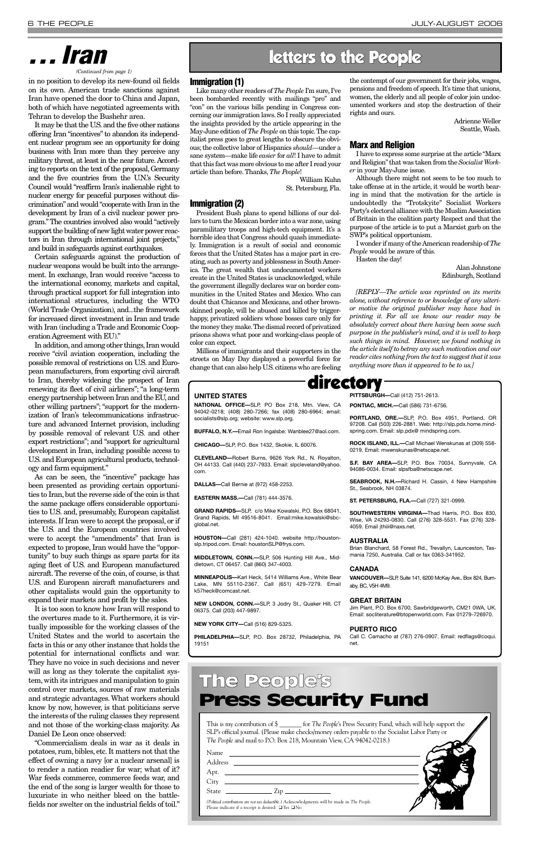in no position to develop its new-found oil fields on its own. American trade sanctions against Iran have opened the door to China and Japan, both of which have negotiated agreements with Tehran to develop the Bushehr area.

It may be that the U.S.and the five other nations offering Iran "incentives" to abandon its independent nuclear program see an opportunity for doing business with Iran more than they perceive any military threat, at least in the near future.According to reports on the text of the proposal,Germany and the five countries from the U.N.'s Security Council would "reaffirm Iran's inalienable right to nuclear energy for peaceful purposes without discrimination"and would "cooperate with Iran in the development by Iran of a civil nuclear power program." The countries involved also would "actively support the building of new light water power reactors in Iran through international joint projects," and build in safeguards against earthquakes.

In addition, and among other things, Iran would receive "civil aviation cooperation, including the possible removal of restrictions on U.S. and European manufacturers, from exporting civil aircraft to Iran, thereby widening the prospect of Iran renewing its fleet of civil airliners"; "a long-term energy partnership between Iran and the EU,and other willing partners"; "support for the modernization of Iran's telecommunications infrastructure and advanced Internet provision, including by possible removal of relevant U.S. and other export restrictions"; and "support for agricultural development in Iran, including possible access to U.S. and European agricultural products, technology and farm equipment."

Certain safeguards against the production of nuclear weapons would be built into the arrangement. In exchange, Iran would receive "access to the international economy, markets and capital, through practical support for full integration into international structures, including the WTO (World Trade Organization), and...the framework for increased direct investment in Iran and trade with Iran (including a Trade and Economic Cooperation Agreement with EU)."

Like many other readers of *The People* I'm sure, I've been bombarded recently with mailings "pro" and "con" on the various bills pending in Congress concerning our immigration laws. So I really appreciated the insights provided by the article appearing in the May-June edition of *The People* on this topic.The capitalist press goes to great lengths to obscure the obvious; the collective labor of Hispanics *should*—under a sane system—make life *easier* for *all*! I have to admit that this fact was more obvious to me after I read your article than before. Thanks, *The People*!

As can be seen, the "incentive" package has been presented as providing certain opportunities to Iran,but the reverse side of the coin is that the same package offers considerable opportunities to U.S. and, presumably, European capitalist interests. If Iran were to accept the proposal, or if the U.S. and the European countries involved were to accept the "amendments" that Iran is expected to propose, Iran would have the "opportunity" to buy such things as spare parts for its aging fleet of U.S. and European manufactured aircraft. The reverse of the coin, of course, is that U.S. and European aircraft manufacturers and other capitalists would gain the opportunity to expand their markets and profit by the sales.

It is too soon to know how Iran will respond to the overtures made to it. Furthermore, it is vir-

tually impossible for the working classes of the United States and the world to ascertain the facts in this or any other instance that holds the potential for international conflicts and war. They have no voice in such decisions and never will as long as they tolerate the capitalist system, with its intrigues and manipulation to gain control over markets, sources of raw materials and strategic advantages. What workers should know by now, however, is that politicians serve the interests of the ruling classes they represent and not those of the working-class majority. As Daniel De Leon once observed:

"Commercialism deals in war as it deals in potatoes, rum, bibles, etc. It matters not that the effect of owning a navy [or a nuclear arsenal] is to render a nation readier for war; what of it? War feeds commerce, commerce feeds war, and the end of the song is larger wealth for those to luxuriate in who neither bleed on the battlefields nor swelter on the industrial fields of toil."

#### **Immigration (1)**

William Kuhn St. Petersburg, Fla.

#### **Immigration (2)**

President Bush plans to spend billions of our dollars to turn the Mexican border into a war zone, using paramilitary troops and high-tech equipment. It's a horrible idea that Congress should quash immediately. Immigration is a result of social and economic forces that the United States has a major part in creating, such as poverty and joblessness in South America. The great wealth that undocumented workers create in the United States is unacknowledged, while the government illegally declares war on border communities in the United States and Mexico. Who can doubt that Chicanos and Mexicans, and other brownskinned people, will be abused and killed by triggerhappy, privatized soldiers whose bosses care only for the money they make.The dismal record of privatized prisons shows what poor and working-class people of color can expect.

Millions of immigrants and their supporters in the streets on May Day displayed a powerful force for change that can also help U.S.citizens who are feeling the contempt of our government for their jobs, wages, pensions and freedom of speech. It's time that unions, women, the elderly and all people of color join undocumented workers and stop the destruction of their rights and ours.

Adrienne Weller Seattle, Wash.

#### **Marx and Religion**

I have to express some surprise at the article "Marx and Religion"that was taken from the *Socialist Worker* in your May-June issue.

Although there might not seem to be too much to take offense at in the article, it would be worth bearing in mind that the motivation for the article is undoubtedly the "Trotskyite" Socialist Workers Party's electoral alliance with the Muslim Association of Britain in the coalition party Respect and that the purpose of the article is to put a Marxist garb on the SWP's political opportunism.

I wonder if many of the American readership of *The People* would be aware of this.

Hasten the day!

Alan Johnstone Edinburgh, Scotland

*[REPLY—The article was reprinted on its merits alone, without reference to or knowledge of any ulterior motive the original publisher may have had in printing it. For all we know our reader may be absolutely correct about there having been some such purpose in the publisher's mind, and it is well to keep such things in mind. However, we found nothing in the article itself to betray any such motivation and our reader cites nothing from the text to suggest that it was anything more than it appeared to be to us.]* 

# **. . . Iran**

*(Continued from page 1)*

This is my contribution of \$ \_\_\_\_\_\_\_ for *The People*'s Press Security Fund, which will help support the SLP's official journal. (Please make checks/money orders payable to the Socialist Labor Party or *The People* and mail to P.O. Box 218, Mountain View, CA 94042-0218.)

| Name                                                                                                                                                                 |  |
|----------------------------------------------------------------------------------------------------------------------------------------------------------------------|--|
| Address                                                                                                                                                              |  |
| Apt.<br><u> 1989 - Johann Stoff, Amerikaansk politiker († 1908)</u>                                                                                                  |  |
| City                                                                                                                                                                 |  |
| State<br>$\sum_{i=1}^{n}$                                                                                                                                            |  |
| (Political contributions are not tax deductible.) Acknowledgments will be made in The People.<br>Please indicate if a receipt is desired: $\square$ Yes $\square$ No |  |

## The People's Press Security Fund

### directory

#### **UNITED STATES**

**NATIONAL OFFICE—**SLP, PO Box 218, Mtn. View, CA 94042-0218; (408) 280-7266; fax (408) 280-6964; email: socialists@slp.org; website: www.slp.org.

**BUFFALO, N.Y.—**Email Ron Ingalsbe: Wanblee27@aol.com.

**CHICAGO—**SLP, P.O. Box 1432, Skokie, IL 60076.

**CLEVELAND—**Robert Burns, 9626 York Rd., N. Royalton, OH 44133. Call (440) 237-7933. Email: slpcleveland@yahoo. com.

**DALLAS—**Call Bernie at (972) 458-2253.

**EASTERN MASS.—**Call (781) 444-3576.

**GRAND RAPIDS—**SLP, c/o Mike Kowalski, P.O. Box 68041, Grand Rapids, MI 49516-8041. Email:mike.kowalski@sbcglobal.net.

**HOUSTON—**Call (281) 424-1040. website http://houstonslp.tripod.com. Email: houstonSLP@frys.com.

**MIDDLETOWN, CONN.—**SLP, 506 Hunting Hill Ave., Middletown, CT 06457. Call (860) 347-4003.

**MINNEAPOLIS—**Karl Heck, 5414 Williams Ave., White Bear Lake, MN 55110-2367. Call (651) 429-7279. Email k57heck@comcast.net.

**NEW LONDON, CONN.—**SLP, 3 Jodry St., Quaker Hill, CT 06375. Call (203) 447-9897.

**NEW YORK CITY—**Call (516) 829-5325.

**PHILADELPHIA—**SLP, P.O. Box 28732, Philadelphia, PA 19151

**PITTSBURGH—**Call (412) 751-2613.

**PONTIAC, MICH.—**Call (586) 731-6756.

**PORTLAND, ORE.—**SLP, P.O. Box 4951, Portland, OR 97208. Call (503) 226-2881. Web: http://slp.pdx.home.mindspring.com. Email: slp.pdx@ mindspring.com.

**ROCK ISLAND, ILL.—**Call Michael Wenskunas at (309) 558- 0219. Email: mwenskunas@netscape.net.

**S.F. BAY AREA—**SLP, P.O. Box 70034, Sunnyvale, CA 94086-0034. Email: slpsfba@netscape.net.

**SEABROOK, N.H.—**Richard H. Cassin, 4 New Hampshire St., Seabrook, NH 03874.

**ST. PETERSBURG, FLA.—**Call (727) 321-0999.

**SOUTHWESTERN VIRGINIA—**Thad Harris, P.O. Box 830, Wise, VA 24293-0830. Call (276) 328-5531. Fax (276) 328- 4059. Email jthiii@naxs.net.

#### **AUSTRALIA**

Brian Blanchard, 58 Forest Rd., Trevallyn, Launceston, Tasmania 7250, Australia. Call or fax 0363-341952.

#### **CANADA**

**VANCOUVER—**SLP, Suite 141, 6200 McKay Ave., Box 824, Burnaby, BC, V5H 4M9.

#### **GREAT BRITAIN**

Jim Plant, P.O. Box 6700, Sawbridgeworth, CM21 0WA, UK. Email: socliterature@btopenworld.com. Fax 01279-726970.

#### **PUERTO RICO**

Call C. Camacho at (787) 276-0907. Email: redflags@coqui. net.

## letters to the People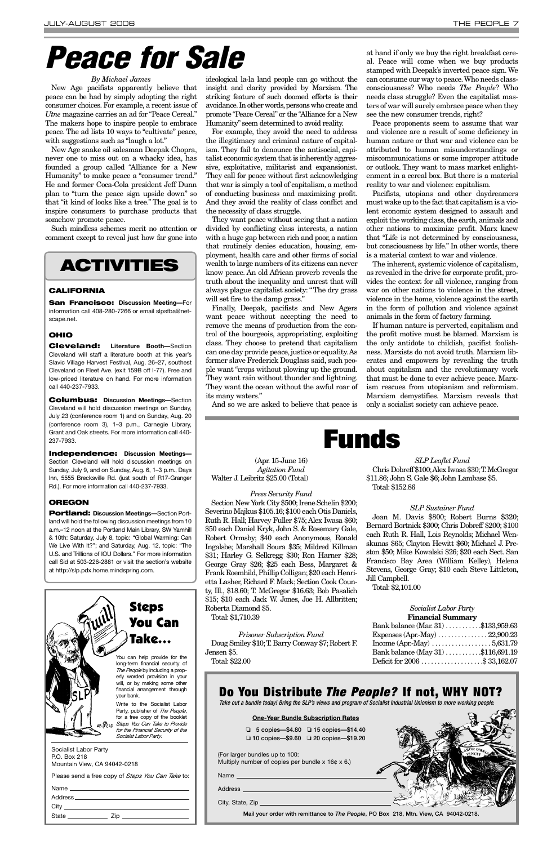Socialist Labor Party P.O. Box 218 Mountain View, CA 94042-0218

Please send a free copy of *Steps You Can Take* to:

Name Address<sub>—</sub> City State Zip





You can help provide for the long-term financial security of *The People* by including a properly worded provision in your will, or by making some other financial arrangement through your bank.

Write to the Socialist Labor Party, publisher of *The People*, for a free copy of the booklet *Steps You Can Take to Provide* ΈAΡ *for the Financial Security of the Socialst Labor Party*.

#### *By Michael James*

New Age pacifists apparently believe that peace can be had by simply adopting the right consumer choices. For example, a recent issue of *Utne* magazine carries an ad for "Peace Cereal." The makers hope to inspire people to embrace peace. The ad lists 10 ways to "cultivate" peace, with suggestions such as "laugh a lot."

New Age snake oil salesman Deepak Chopra, never one to miss out on a whacky idea, has founded a group called "Alliance for a New Humanity" to make peace a "consumer trend." He and former Coca-Cola president Jeff Dunn plan to "turn the peace sign upside down" so that "it kind of looks like a tree." The goal is to inspire consumers to purchase products that somehow promote peace.

Such mindless schemes merit no attention or comment except to reveal just how far gone into ideological la-la land people can go without the insight and clarity provided by Marxism. The striking feature of such doomed efforts is their avoidance. In other words, persons who create and promote "Peace Cereal" or the "Alliance for a New Humanity" seem determined to avoid reality.

For example, they avoid the need to address the illegitimacy and criminal nature of capitalism. They fail to denounce the antisocial, capitalist economic system that is inherently aggressive, exploitative, militarist and expansionist. They call for peace without first acknowledging that war is simply a tool of capitalism, a method of conducting business and maximizing profit. And they avoid the reality of class conflict and the necessity of class struggle.

They want peace without seeing that a nation divided by conflicting class interests, a nation with a huge gap between rich and poor, a nation that routinely denies education, housing, employment, health care and other forms of social wealth to large numbers of its citizens can never know peace. An old African proverb reveals the truth about the inequality and unrest that will always plague capitalist society: "The dry grass will set fire to the damp grass."

Finally, Deepak, pacifists and New Agers want peace without accepting the need to remove the means of production from the control of the bourgeois, appropriating, exploiting class. They choose to pretend that capitalism can one day provide peace, justice or equality. As former slave Frederick Douglass said, such people want "crops without plowing up the ground. They want rain without thunder and lightning. They want the ocean without the awful roar of its many waters."

Section New York City \$500; Irene Schelin \$200; Severino Majkus \$105.16;\$100 each Otis Daniels, Ruth R. Hall; Harvey Fuller \$75; Alex Iwasa \$60; \$50 each Daniel Kryk, John S. & Rosemary Gale, Robert Ormsby; \$40 each Anonymous, Ronald Ingalsbe; Marshall Soura \$35; Mildred Killman \$31; Harley G. Selkregg \$30; Ron Harner \$28; George Gray \$26; \$25 each Bess, Margaret & Frank Roemhild,Phillip Colligan;\$20 each Henrietta Lasher, Richard F. Mack; Section Cook County, Ill., \$18.60; T. McGregor \$16.63; Bob Pasalich \$15; \$10 each Jack W. Jones, Joe H. Allbritten; Roberta Diamond \$5.

And so we are asked to believe that peace is

at hand if only we buy the right breakfast cereal. Peace will come when we buy products stamped with Deepak's inverted peace sign. We can consume our way to peace.Who needs classconsciousness? Who needs *The People*? Who needs class struggle? Even the capitalist masters of war will surely embrace peace when they see the new consumer trends, right?

Peace proponents seem to assume that war and violence are a result of some deficiency in human nature or that war and violence can be attributed to human misunderstandings or miscommunications or some improper attitude or outlook. They want to mass market enlightenment in a cereal box. But there is a material reality to war and violence: capitalism.

Pacifists, utopians and other daydreamers must wake up to the fact that capitalism is a violent economic system designed to assault and exploit the working class, the earth, animals and other nations to maximize profit. Marx knew that "Life is not determined by consciousness, but consciousness by life." In other words, there is a material context to war and violence.

The inherent, systemic violence of capitalism, as revealed in the drive for corporate profit, provides the context for all violence, ranging from war on other nations to violence in the street, violence in the home, violence against the earth in the form of pollution and violence against animals in the form of factory farming.

If human nature is perverted, capitalism and the profit motive must be blamed. Marxism is the only antidote to childish, pacifist foolishness. Marxists do not avoid truth. Marxism liberates and empowers by revealing the truth about capitalism and the revolutionary work that must be done to ever achieve peace. Marxism rescues from utopianism and reformism. Marxism demystifies. Marxism reveals that only a socialist society can achieve peace.

(Apr. 15-June 16) *Agitation Fund* Walter J. Leibritz \$25.00 (Total)

*Press Security Fund*

Total: \$1,710.39

*Prisoner Subscription Fund* Doug Smiley \$10; T. Barry Conway \$7; Robert F. Jensen \$5. Total: \$22.00

*SLP Leaflet Fund*

Chris Dobreff \$100;Alex Iwasa \$30;T.McGregor \$11.86; John S. Gale \$6; John Lambase \$5. Total: \$152.86

#### *SLP Sustainer Fund*

Joan M. Davis \$800; Robert Burns \$320; Bernard Bortnick \$300; Chris Dobreff \$200; \$100 each Ruth R. Hall, Lois Reynolds; Michael Wenskunas \$65; Clayton Hewitt \$60; Michael J. Preston \$50; Mike Kowalski \$26; \$20 each Sect. San Francisco Bay Area (William Kelley), Helena Stevens, George Gray; \$10 each Steve Littleton, Jill Campbell.

Total: \$2,101.00

*Socialist Labor Party* **Financial Summary**

| Bank balance (Mar. 31) \$133,959.63 |
|-------------------------------------|
|                                     |
| Income $(Apr.May)$ 5,631.79         |
| Bank balance (May 31) \$116,691.19  |
| Deficit for 2006 \$ 33,162.07       |
|                                     |



## **ACTIVITIES**

#### **CALIFORNIA**

**San Francisco: Discussion Meeting—**For information call 408-280-7266 or email slpsfba@netscape.net.

#### **OHIO**

**Cleveland: Literature Booth—**Section Cleveland will staff a literature booth at this year's Slavic Village Harvest Festival, Aug. 26–27, southest Cleveland on Fleet Ave. (exit 159B off I-77). Free and low-priced literature on hand. For more information call 440-237-7933.

**Columbus: Discussion Meetings—**Section Cleveland will hold discussion meetings on Sunday, July 23 (conference room 1) and on Sunday, Aug. 20 (conference room 3), 1–3 p.m., Carnegie Library, Grant and Oak streets. For more information call 440- 237-7933.

**Independence: Discussion Meetings—** Section Cleveland will hold discussion meetings on Sunday, July 9, and on Sunday, Aug. 6, 1–3 p.m., Days Inn, 5555 Brecksville Rd. (just south of R17-Granger Rd.). For more information call 440-237-7933.

#### **OREGON**

**Portland: Discussion Meetings—**Section Portland will hold the following discussion meetings from 10 a.m.–12 noon at the Portland Main Library, SW Yamhill & 10th: Saturday, July 8, topic: "Global Warming: Can We Live With It?"; and Saturday, Aug. 12, topic: "The U.S. and Trillions of IOU Dollars." For more information call Sid at 503-226-2881 or visit the section's website at http://slp.pdx.home.mindspring.com.

# **Peace for Sale**

(For larger bundles up to 100: Multiply number of copies per bundle x 16¢ x 6.)

Name

Address \_\_\_

City, State, Zip

### **Do You Distribute The People? If not, WHY NOT?**

Take out a bundle today! Bring the SLP's views and program of Socialist Industrial Unionism to more working people

**Mail your order with remittance to** *The People***, PO Box 218, Mtn. View, CA 94042-0218.**



#### **One-Year Bundle Subscription Rates**

❏ **5 copies—\$4.80** ❏ **15 copies—\$14.40** ❏ **10 copies—\$9.60** ❏ **20 copies—\$19.20**